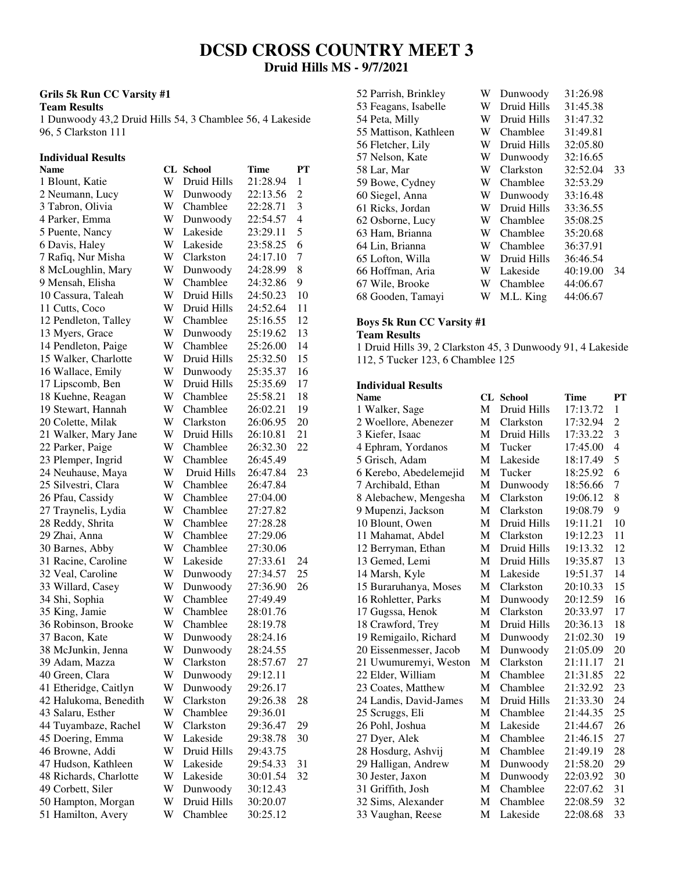## **DCSD CROSS COUNTRY MEET 3 Druid Hills MS - 9/7/2021**

## **Grils 5k Run CC Varsity #1**

**Team Results** 

1 Dunwoody 43,2 Druid Hills 54, 3 Chamblee 56, 4 Lakeside 96, 5 Clarkston 111

# **Individual Results**

| Name                                    | CL.    | <b>School</b>            | <b>Time</b> | <b>PT</b>      |
|-----------------------------------------|--------|--------------------------|-------------|----------------|
| 1 Blount, Katie                         | W      | Druid Hills              | 21:28.94    | $\mathbf{1}$   |
| 2 Neumann, Lucy                         | W      | Dunwoody                 | 22:13.56    | $\overline{c}$ |
| 3 Tabron, Olivia                        | W      | Chamblee                 | 22:28.71    | 3              |
| 4 Parker, Emma                          | W      | Dunwoody                 | 22:54.57    | $\overline{4}$ |
| 5 Puente, Nancy                         | W      | Lakeside                 | 23:29.11    | 5              |
| 6 Davis, Haley                          | W      | Lakeside                 | 23:58.25    | 6              |
| 7 Rafiq, Nur Misha                      | W      | Clarkston                | 24:17.10    | 7              |
| 8 McLoughlin, Mary                      | W      | Dunwoody                 | 24:28.99    | 8              |
| 9 Mensah, Elisha                        | W      | Chamblee                 | 24:32.86    | 9              |
| 10 Cassura, Taleah                      | W      | Druid Hills              | 24:50.23    | 10             |
| 11 Cutts, Coco                          | W      | Druid Hills              | 24:52.64    | 11             |
| 12 Pendleton, Talley                    | W      | Chamblee                 | 25:16.55    | 12             |
| 13 Myers, Grace                         | W      | Dunwoody                 | 25:19.62    | 13             |
| 14 Pendleton, Paige                     | W      | Chamblee                 | 25:26.00    | 14             |
| 15 Walker, Charlotte                    | W      | Druid Hills              | 25:32.50    | 15             |
| 16 Wallace, Emily                       | W      | Dunwoody                 | 25:35.37    | 16             |
|                                         | W      | Druid Hills              | 25:35.69    | 17             |
| 17 Lipscomb, Ben                        | W      | Chamblee                 | 25:58.21    | 18             |
| 18 Kuehne, Reagan<br>19 Stewart, Hannah | W      | Chamblee                 | 26:02.21    | 19             |
|                                         | W      |                          | 26:06.95    | 20             |
| 20 Colette, Milak                       | W      | Clarkston<br>Druid Hills |             |                |
| 21 Walker, Mary Jane                    | W      | Chamblee                 | 26:10.81    | 21             |
| 22 Parker, Paige                        |        | Chamblee                 | 26:32.30    | 22             |
| 23 Plemper, Ingrid                      | W<br>W |                          | 26:45.49    |                |
| 24 Neuhause, Maya                       |        | Druid Hills              | 26:47.84    | 23             |
| 25 Silvestri, Clara                     | W      | Chamblee                 | 26:47.84    |                |
| 26 Pfau, Cassidy                        | W      | Chamblee                 | 27:04.00    |                |
| 27 Traynelis, Lydia                     | W      | Chamblee                 | 27:27.82    |                |
| 28 Reddy, Shrita                        | W      | Chamblee                 | 27:28.28    |                |
| 29 Zhai, Anna                           | W      | Chamblee                 | 27:29.06    |                |
| 30 Barnes, Abby                         | W      | Chamblee                 | 27:30.06    |                |
| 31 Racine, Caroline                     | W      | Lakeside                 | 27:33.61    | 24             |
| 32 Veal, Caroline                       | W      | Dunwoody                 | 27:34.57    | 25             |
| 33 Willard, Casey                       | W      | Dunwoody                 | 27:36.90    | 26             |
| 34 Shi, Sophia                          | W      | Chamblee                 | 27:49.49    |                |
| 35 King, Jamie                          | W      | Chamblee                 | 28:01.76    |                |
| 36 Robinson, Brooke                     | W      | Chamblee                 | 28:19.78    |                |
| 37 Bacon, Kate                          | W      | Dunwoody                 | 28:24.16    |                |
| 38 McJunkin, Jenna                      | W      | Dunwoody                 | 28:24.55    |                |
| 39 Adam, Mazza                          | W      | Clarkston                | 28:57.67    | 27             |
| 40 Green, Clara                         | W      | Dunwoody                 | 29:12.11    |                |
| 41 Etheridge, Caitlyn                   | W      | Dunwoody                 | 29:26.17    |                |
| 42 Halukoma, Benedith                   | W      | Clarkston                | 29:26.38    | 28             |
| 43 Salaru, Esther                       | W      | Chamblee                 | 29:36.01    |                |
| 44 Tuyambaze, Rachel                    | W      | Clarkston                | 29:36.47    | 29             |
| 45 Doering, Emma                        | W      | Lakeside                 | 29:38.78    | 30             |
| 46 Browne, Addi                         | W      | Druid Hills              | 29:43.75    |                |
| 47 Hudson, Kathleen                     | W      | Lakeside                 | 29:54.33    | 31             |
| 48 Richards, Charlotte                  | W      | Lakeside                 | 30:01.54    | 32             |
| 49 Corbett, Siler                       | W      | Dunwoody                 | 30:12.43    |                |
| 50 Hampton, Morgan                      | W      | Druid Hills              | 30:20.07    |                |
| 51 Hamilton, Avery                      | W      | Chamblee                 | 30:25.12    |                |

| 52 Parrish, Brinkley  | W | Dunwoody    | 31:26.98 |    |
|-----------------------|---|-------------|----------|----|
| 53 Feagans, Isabelle  | W | Druid Hills | 31:45.38 |    |
| 54 Peta, Milly        | W | Druid Hills | 31:47.32 |    |
| 55 Mattison, Kathleen | W | Chamblee    | 31:49.81 |    |
| 56 Fletcher, Lily     | W | Druid Hills | 32:05.80 |    |
| 57 Nelson, Kate       | W | Dunwoody    | 32:16.65 |    |
| 58 Lar, Mar           | W | Clarkston   | 32:52.04 | 33 |
| 59 Bowe, Cydney       | W | Chamblee    | 32:53.29 |    |
| 60 Siegel, Anna       | W | Dunwoody    | 33:16.48 |    |
| 61 Ricks, Jordan      | W | Druid Hills | 33:36.55 |    |
| 62 Osborne, Lucy      | W | Chamblee    | 35:08.25 |    |
| 63 Ham, Brianna       | W | Chamblee    | 35:20.68 |    |
| 64 Lin, Brianna       | W | Chamblee    | 36:37.91 |    |
| 65 Lofton, Willa      | W | Druid Hills | 36:46.54 |    |
| 66 Hoffman, Aria      | W | Lakeside    | 40:19.00 | 34 |
| 67 Wile, Brooke       | W | Chamblee    | 44:06.67 |    |
| 68 Gooden, Tamayi     | W | M.L. King   | 44:06.67 |    |
|                       |   |             |          |    |

#### **Boys 5k Run CC Varsity #1 Team Results**

1 Druid Hills 39, 2 Clarkston 45, 3 Dunwoody 91, 4 Lakeside 112, 5 Tucker 123, 6 Chamblee 125

## **Individual Results**

| <b>Name</b>            |   | <b>CL</b> School | Time     | <b>PT</b>      |
|------------------------|---|------------------|----------|----------------|
| 1 Walker, Sage         | M | Druid Hills      | 17:13.72 | 1              |
| 2 Woellore, Abenezer   | M | Clarkston        | 17:32.94 | $\overline{c}$ |
| 3 Kiefer, Isaac        | M | Druid Hills      | 17:33.22 | 3              |
| 4 Ephram, Yordanos     | М | Tucker           | 17:45.00 | 4              |
| 5 Grisch, Adam         | M | Lakeside         | 18:17.49 | 5              |
| 6 Kerebo, Abedelemejid | М | Tucker           | 18:25.92 | 6              |
| 7 Archibald, Ethan     | М | Dunwoody         | 18:56.66 | 7              |
| 8 Alebachew, Mengesha  | М | Clarkston        | 19:06.12 | 8              |
| 9 Mupenzi, Jackson     | М | Clarkston        | 19:08.79 | 9              |
| 10 Blount, Owen        | M | Druid Hills      | 19:11.21 | 10             |
| 11 Mahamat, Abdel      | M | Clarkston        | 19:12.23 | 11             |
| 12 Berryman, Ethan     | М | Druid Hills      | 19:13.32 | 12             |
| 13 Gemed, Lemi         | М | Druid Hills      | 19:35.87 | 13             |
| 14 Marsh, Kyle         | М | Lakeside         | 19:51.37 | 14             |
| 15 Buraruhanya, Moses  | М | Clarkston        | 20:10.33 | 15             |
| 16 Rohletter, Parks    | М | Dunwoody         | 20:12.59 | 16             |
| 17 Gugssa, Henok       | M | Clarkston        | 20:33.97 | 17             |
| 18 Crawford, Trey      | М | Druid Hills      | 20:36.13 | 18             |
| 19 Remigailo, Richard  | М | Dunwoody         | 21:02.30 | 19             |
| 20 Eissenmesser, Jacob | M | Dunwoody         | 21:05.09 | 20             |
| 21 Uwumuremyi, Weston  | M | Clarkston        | 21:11.17 | 21             |
| 22 Elder, William      | M | Chamblee         | 21:31.85 | 22             |
| 23 Coates, Matthew     | M | Chamblee         | 21:32.92 | 23             |
| 24 Landis, David-James | М | Druid Hills      | 21:33.30 | 24             |
| 25 Scruggs, Eli        | М | Chamblee         | 21:44.35 | 25             |
| 26 Pohl, Joshua        | М | Lakeside         | 21:44.67 | 26             |
| 27 Dyer, Alek          | М | Chamblee         | 21:46.15 | 27             |
| 28 Hosdurg, Ashvij     | М | Chamblee         | 21:49.19 | 28             |
| 29 Halligan, Andrew    | М | Dunwoody         | 21:58.20 | 29             |
| 30 Jester, Jaxon       | М | Dunwoody         | 22:03.92 | 30             |
| 31 Griffith, Josh      | М | Chamblee         | 22:07.62 | 31             |
| 32 Sims, Alexander     | М | Chamblee         | 22:08.59 | 32             |
| 33 Vaughan, Reese      | М | Lakeside         | 22:08.68 | 33             |
|                        |   |                  |          |                |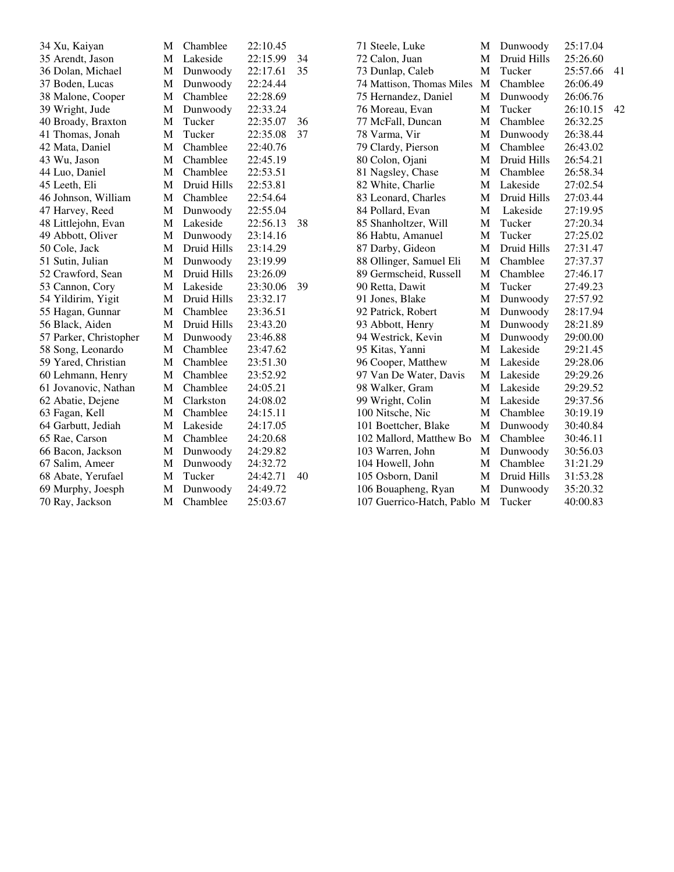| 34 Xu, Kaiyan          | M            | Chamblee    | 22:10.45 |    | 71 Steele, Luke             | M | Dunwoody    | 25:17.04 |    |
|------------------------|--------------|-------------|----------|----|-----------------------------|---|-------------|----------|----|
| 35 Arendt, Jason       | M            | Lakeside    | 22:15.99 | 34 | 72 Calon, Juan              | M | Druid Hills | 25:26.60 |    |
| 36 Dolan, Michael      | M            | Dunwoody    | 22:17.61 | 35 | 73 Dunlap, Caleb            | M | Tucker      | 25:57.66 | 41 |
| 37 Boden, Lucas        | M            | Dunwoody    | 22:24.44 |    | 74 Mattison, Thomas Miles   | M | Chamblee    | 26:06.49 |    |
| 38 Malone, Cooper      | M            | Chamblee    | 22:28.69 |    | 75 Hernandez, Daniel        | M | Dunwoody    | 26:06.76 |    |
| 39 Wright, Jude        | $\mathbf{M}$ | Dunwoody    | 22:33.24 |    | 76 Moreau, Evan             | M | Tucker      | 26:10.15 | 42 |
| 40 Broady, Braxton     | M            | Tucker      | 22:35.07 | 36 | 77 McFall, Duncan           | M | Chamblee    | 26:32.25 |    |
| 41 Thomas, Jonah       | M            | Tucker      | 22:35.08 | 37 | 78 Varma, Vir               | M | Dunwoody    | 26:38.44 |    |
| 42 Mata, Daniel        | M            | Chamblee    | 22:40.76 |    | 79 Clardy, Pierson          | M | Chamblee    | 26:43.02 |    |
| 43 Wu, Jason           | M            | Chamblee    | 22:45.19 |    | 80 Colon, Ojani             | M | Druid Hills | 26:54.21 |    |
| 44 Luo, Daniel         | M            | Chamblee    | 22:53.51 |    | 81 Nagsley, Chase           | M | Chamblee    | 26:58.34 |    |
| 45 Leeth, Eli          | M            | Druid Hills | 22:53.81 |    | 82 White, Charlie           | M | Lakeside    | 27:02.54 |    |
| 46 Johnson, William    | M            | Chamblee    | 22:54.64 |    | 83 Leonard, Charles         | M | Druid Hills | 27:03.44 |    |
| 47 Harvey, Reed        | M            | Dunwoody    | 22:55.04 |    | 84 Pollard, Evan            | M | Lakeside    | 27:19.95 |    |
| 48 Littlejohn, Evan    | $\mathbf{M}$ | Lakeside    | 22:56.13 | 38 | 85 Shanholtzer, Will        | M | Tucker      | 27:20.34 |    |
| 49 Abbott, Oliver      | M            | Dunwoody    | 23:14.16 |    | 86 Habtu, Amanuel           | M | Tucker      | 27:25.02 |    |
| 50 Cole, Jack          | M            | Druid Hills | 23:14.29 |    | 87 Darby, Gideon            | M | Druid Hills | 27:31.47 |    |
| 51 Sutin, Julian       | M            | Dunwoody    | 23:19.99 |    | 88 Ollinger, Samuel Eli     | M | Chamblee    | 27:37.37 |    |
| 52 Crawford, Sean      | M            | Druid Hills | 23:26.09 |    | 89 Germscheid, Russell      | M | Chamblee    | 27:46.17 |    |
| 53 Cannon, Cory        | M            | Lakeside    | 23:30.06 | 39 | 90 Retta, Dawit             | M | Tucker      | 27:49.23 |    |
| 54 Yildirim, Yigit     | M            | Druid Hills | 23:32.17 |    | 91 Jones, Blake             | M | Dunwoody    | 27:57.92 |    |
| 55 Hagan, Gunnar       | M            | Chamblee    | 23:36.51 |    | 92 Patrick, Robert          | M | Dunwoody    | 28:17.94 |    |
| 56 Black, Aiden        | M            | Druid Hills | 23:43.20 |    | 93 Abbott, Henry            | M | Dunwoody    | 28:21.89 |    |
| 57 Parker, Christopher | M            | Dunwoody    | 23:46.88 |    | 94 Westrick, Kevin          | M | Dunwoody    | 29:00.00 |    |
| 58 Song, Leonardo      | M            | Chamblee    | 23:47.62 |    | 95 Kitas, Yanni             | M | Lakeside    | 29:21.45 |    |
| 59 Yared, Christian    | M            | Chamblee    | 23:51.30 |    | 96 Cooper, Matthew          | M | Lakeside    | 29:28.06 |    |
| 60 Lehmann, Henry      | M            | Chamblee    | 23:52.92 |    | 97 Van De Water, Davis      | M | Lakeside    | 29:29.26 |    |
| 61 Jovanovic, Nathan   | M            | Chamblee    | 24:05.21 |    | 98 Walker, Gram             | M | Lakeside    | 29:29.52 |    |
| 62 Abatie, Dejene      | M            | Clarkston   | 24:08.02 |    | 99 Wright, Colin            | M | Lakeside    | 29:37.56 |    |
| 63 Fagan, Kell         | M            | Chamblee    | 24:15.11 |    | 100 Nitsche, Nic            | M | Chamblee    | 30:19.19 |    |
| 64 Garbutt, Jediah     | M            | Lakeside    | 24:17.05 |    | 101 Boettcher, Blake        | M | Dunwoody    | 30:40.84 |    |
| 65 Rae, Carson         | M            | Chamblee    | 24:20.68 |    | 102 Mallord, Matthew Bo     | M | Chamblee    | 30:46.11 |    |
| 66 Bacon, Jackson      | M            | Dunwoody    | 24:29.82 |    | 103 Warren, John            | M | Dunwoody    | 30:56.03 |    |
| 67 Salim, Ameer        | M            | Dunwoody    | 24:32.72 |    | 104 Howell, John            | M | Chamblee    | 31:21.29 |    |
| 68 Abate, Yerufael     | M            | Tucker      | 24:42.71 | 40 | 105 Osborn, Danil           | M | Druid Hills | 31:53.28 |    |
| 69 Murphy, Joesph      | M            | Dunwoody    | 24:49.72 |    | 106 Bouapheng, Ryan         | M | Dunwoody    | 35:20.32 |    |
| 70 Ray, Jackson        | M            | Chamblee    | 25:03.67 |    | 107 Guerrico-Hatch, Pablo M |   | Tucker      | 40:00.83 |    |
|                        |              |             |          |    |                             |   |             |          |    |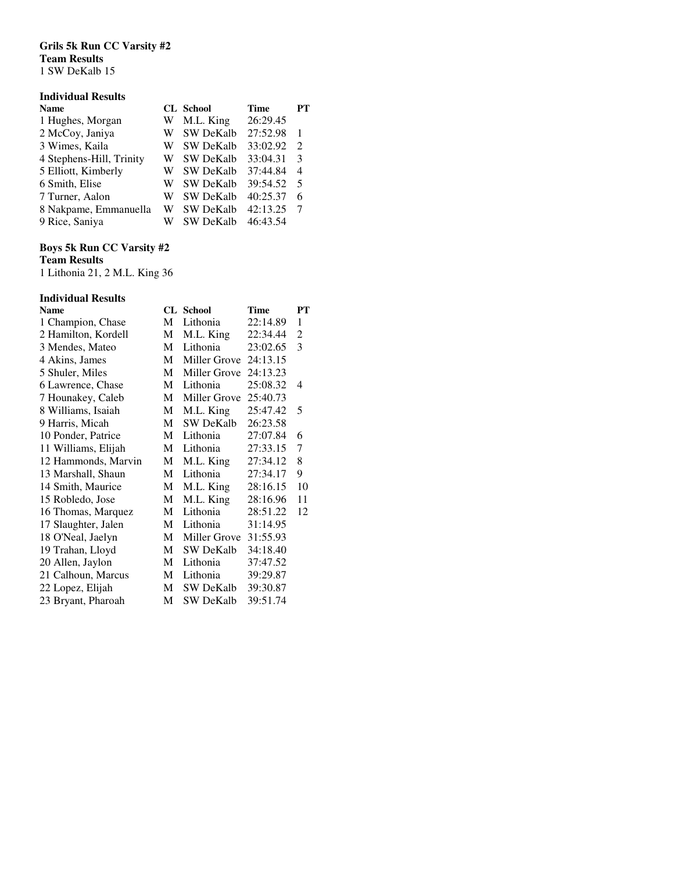## **Grils 5k Run CC Varsity #2 Team Results**

1 SW DeKalb 15

## **Individual Results**

| <b>Name</b>              |   | <b>CL</b> School | Time     | PТ                          |
|--------------------------|---|------------------|----------|-----------------------------|
| 1 Hughes, Morgan         | W | M.L. King        | 26:29.45 |                             |
| 2 McCoy, Janiya          | W | <b>SW DeKalb</b> | 27:52.98 | 1                           |
| 3 Wimes, Kaila           | W | <b>SW DeKalb</b> | 33:02.92 | $\mathcal{D}_{\mathcal{L}}$ |
| 4 Stephens-Hill, Trinity | W | <b>SW DeKalb</b> | 33:04.31 | 3                           |
| 5 Elliott, Kimberly      | W | <b>SW DeKalb</b> | 37:44.84 | $\overline{4}$              |
| 6 Smith, Elise           | W | <b>SW DeKalb</b> | 39:54.52 | .5                          |
| 7 Turner, Aalon          | W | <b>SW DeKalb</b> | 40:25.37 | 6                           |
| 8 Nakpame, Emmanuella    | W | <b>SW DeKalb</b> | 42:13.25 |                             |
| 9 Rice, Saniya           | W | <b>SW DeKalb</b> | 46:43.54 |                             |

## **Boys 5k Run CC Varsity #2**

**Team Results** 

1 Lithonia 21, 2 M.L. King 36

## **Individual Results**

| <b>Name</b>         |   | <b>CL</b> School | Time     | PТ |
|---------------------|---|------------------|----------|----|
| 1 Champion, Chase   | M | Lithonia         | 22:14.89 | 1  |
| 2 Hamilton, Kordell | M | M.L. King        | 22:34.44 | 2  |
| 3 Mendes, Mateo     | М | Lithonia         | 23:02.65 | 3  |
| 4 Akins, James      | M | Miller Grove     | 24:13.15 |    |
| 5 Shuler, Miles     | М | Miller Grove     | 24:13.23 |    |
| 6 Lawrence, Chase   | M | Lithonia         | 25:08.32 | 4  |
| 7 Hounakey, Caleb   | M | Miller Grove     | 25:40.73 |    |
| 8 Williams, Isaiah  | M | M.L. King        | 25:47.42 | 5  |
| 9 Harris, Micah     | М | <b>SW DeKalb</b> | 26:23.58 |    |
| 10 Ponder, Patrice  | М | Lithonia         | 27:07.84 | 6  |
| 11 Williams, Elijah | М | Lithonia         | 27:33.15 | 7  |
| 12 Hammonds, Marvin | М | M.L. King        | 27:34.12 | 8  |
| 13 Marshall, Shaun  | М | Lithonia         | 27:34.17 | 9  |
| 14 Smith, Maurice   | М | M.L. King        | 28:16.15 | 10 |
| 15 Robledo, Jose    | М | M.L. King        | 28:16.96 | 11 |
| 16 Thomas, Marquez  | М | Lithonia         | 28:51.22 | 12 |
| 17 Slaughter, Jalen | М | Lithonia         | 31:14.95 |    |
| 18 O'Neal, Jaelyn   | M | Miller Grove     | 31:55.93 |    |
| 19 Trahan, Lloyd    | М | <b>SW DeKalb</b> | 34:18.40 |    |
| 20 Allen, Jaylon    | М | Lithonia         | 37:47.52 |    |
| 21 Calhoun, Marcus  | М | Lithonia         | 39:29.87 |    |
| 22 Lopez, Elijah    | M | SW DeKalb        | 39:30.87 |    |
| 23 Bryant, Pharoah  | М | SW DeKalb        | 39:51.74 |    |
|                     |   |                  |          |    |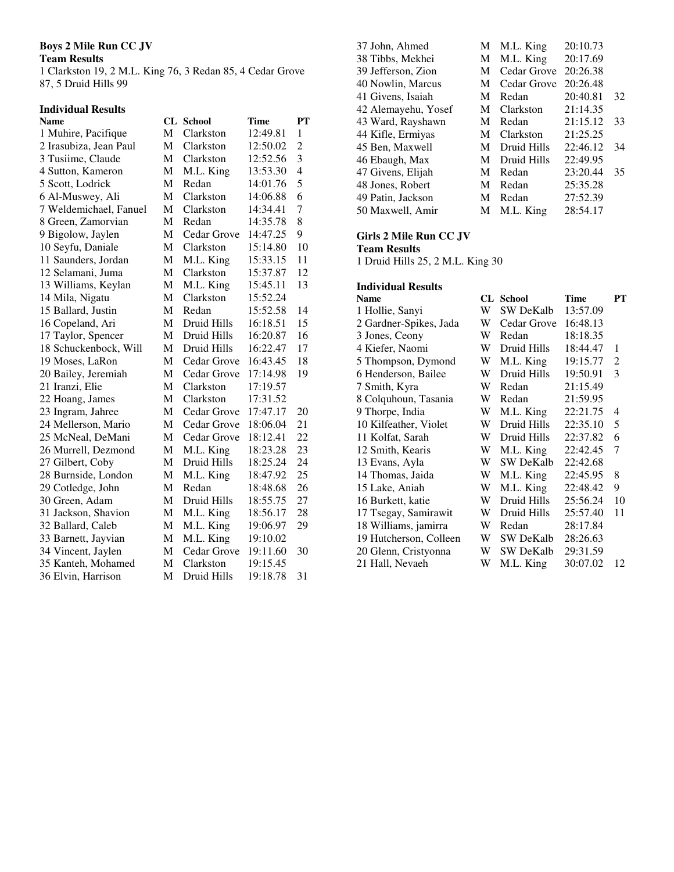## **Boys 2 Mile Run CC JV**

## **Team Results**

1 Clarkston 19, 2 M.L. King 76, 3 Redan 85, 4 Cedar Grove 87, 5 Druid Hills 99

# **Individual Results**

| <b>Name</b>            |              | <b>CL</b> School | <b>Time</b> | <b>PT</b>                |
|------------------------|--------------|------------------|-------------|--------------------------|
| 1 Muhire, Pacifique    | М            | Clarkston        | 12:49.81    | $\mathbf{1}$             |
| 2 Irasubiza, Jean Paul | М            | Clarkston        | 12:50.02    | $\overline{c}$           |
| 3 Tusiime, Claude      | М            | Clarkston        | 12:52.56    | 3                        |
| 4 Sutton, Kameron      | М            | M.L. King        | 13:53.30    | $\overline{\mathcal{L}}$ |
| 5 Scott, Lodrick       | М            | Redan            | 14:01.76    | 5                        |
| 6 Al-Muswey, Ali       | М            | Clarkston        | 14:06.88    | 6                        |
| 7 Weldemichael, Fanuel | $\mathbf{M}$ | Clarkston        | 14:34.41    | $\overline{7}$           |
| 8 Green, Zamorvian     | М            | Redan            | 14:35.78    | 8                        |
| 9 Bigolow, Jaylen      | М            | Cedar Grove      | 14:47.25    | 9                        |
| 10 Seyfu, Daniale      | М            | Clarkston        | 15:14.80    | 10                       |
| 11 Saunders, Jordan    | M            | M.L. King        | 15:33.15    | 11                       |
| 12 Selamani, Juma      | М            | Clarkston        | 15:37.87    | 12                       |
| 13 Williams, Keylan    | М            | M.L. King        | 15:45.11    | 13                       |
| 14 Mila, Nigatu        | М            | Clarkston        | 15:52.24    |                          |
| 15 Ballard, Justin     | М            | Redan            | 15:52.58    | 14                       |
| 16 Copeland, Ari       | М            | Druid Hills      | 16:18.51    | 15                       |
| 17 Taylor, Spencer     | M            | Druid Hills      | 16:20.87    | 16                       |
| 18 Schuckenbock, Will  | М            | Druid Hills      | 16:22.47    | 17                       |
| 19 Moses, LaRon        | M            | Cedar Grove      | 16:43.45    | 18                       |
| 20 Bailey, Jeremiah    | M            | Cedar Grove      | 17:14.98    | 19                       |
| 21 Iranzi, Elie        | М            | Clarkston        | 17:19.57    |                          |
| 22 Hoang, James        | М            | Clarkston        | 17:31.52    |                          |
| 23 Ingram, Jahree      | M            | Cedar Grove      | 17:47.17    | 20                       |
| 24 Mellerson, Mario    | M            | Cedar Grove      | 18:06.04    | 21                       |
| 25 McNeal, DeMani      | M            | Cedar Grove      | 18:12.41    | 22                       |
| 26 Murrell, Dezmond    | M            | M.L. King        | 18:23.28    | 23                       |
| 27 Gilbert, Coby       | M            | Druid Hills      | 18:25.24    | 24                       |
| 28 Burnside, London    | M            | M.L. King        | 18:47.92    | 25                       |
| 29 Cotledge, John      | М            | Redan            | 18:48.68    | 26                       |
| 30 Green, Adam         | M            | Druid Hills      | 18:55.75    | 27                       |
| 31 Jackson, Shavion    | M            | M.L. King        | 18:56.17    | 28                       |
| 32 Ballard, Caleb      | M            | M.L. King        | 19:06.97    | 29                       |
| 33 Barnett, Jayvian    | M            | M.L. King        | 19:10.02    |                          |
| 34 Vincent, Jaylen     | M            | Cedar Grove      | 19:11.60    | 30                       |
| 35 Kanteh, Mohamed     | M            | Clarkston        | 19:15.45    |                          |
| 36 Elvin, Harrison     | M            | Druid Hills      | 19:18.78    | 31                       |
|                        |              |                  |             |                          |

| 37 John, Ahmed      | М | M.L. King   | 20:10.73 |    |
|---------------------|---|-------------|----------|----|
| 38 Tibbs, Mekhei    | М | M.L. King   | 20:17.69 |    |
| 39 Jefferson, Zion  | M | Cedar Grove | 20:26.38 |    |
| 40 Nowlin, Marcus   | M | Cedar Grove | 20:26.48 |    |
| 41 Givens, Isaiah   | M | Redan       | 20:40.81 | 32 |
| 42 Alemayehu, Yosef | M | Clarkston   | 21:14.35 |    |
| 43 Ward, Rayshawn   | M | Redan       | 21:15.12 | 33 |
| 44 Kifle, Ermiyas   | M | Clarkston   | 21:25.25 |    |
| 45 Ben, Maxwell     | M | Druid Hills | 22:46.12 | 34 |
| 46 Ebaugh, Max      | M | Druid Hills | 22:49.95 |    |
| 47 Givens, Elijah   | M | Redan       | 23:20.44 | 35 |
| 48 Jones, Robert    | M | Redan       | 25:35.28 |    |
| 49 Patin, Jackson   | M | Redan       | 27:52.39 |    |
| 50 Maxwell, Amir    | M | M.L. King   | 28:54.17 |    |

## **Girls 2 Mile Run CC JV**

**Team Results** 

1 Druid Hills 25, 2 M.L. King 30

## **Individual Results**

| <b>Name</b>            |   | <b>CL</b> School | <b>Time</b> | PT             |
|------------------------|---|------------------|-------------|----------------|
| 1 Hollie, Sanyi        | W | SW DeKalb        | 13:57.09    |                |
| 2 Gardner-Spikes, Jada | W | Cedar Grove      | 16:48.13    |                |
| 3 Jones, Ceony         | W | Redan            | 18:18.35    |                |
| 4 Kiefer, Naomi        | W | Druid Hills      | 18:44.47    | 1              |
| 5 Thompson, Dymond     | W | M.L. King        | 19:15.77    | $\overline{2}$ |
| 6 Henderson, Bailee    | W | Druid Hills      | 19:50.91    | 3              |
| 7 Smith, Kyra          | W | Redan            | 21:15.49    |                |
| 8 Colquhoun, Tasania   | W | Redan            | 21:59.95    |                |
| 9 Thorpe, India        | W | M.L. King        | 22:21.75    | 4              |
| 10 Kilfeather, Violet  | W | Druid Hills      | 22:35.10    | 5              |
| 11 Kolfat, Sarah       | W | Druid Hills      | 22:37.82    | 6              |
| 12 Smith, Kearis       | W | M.L. King        | 22:42.45    | 7              |
| 13 Evans, Ayla         | W | SW DeKalb        | 22:42.68    |                |
| 14 Thomas, Jaida       | W | M.L. King        | 22:45.95    | 8              |
| 15 Lake, Aniah         | W | M.L. King        | 22:48.42    | 9              |
| 16 Burkett, katie      | W | Druid Hills      | 25:56.24    | 10             |
| 17 Tsegay, Samirawit   | W | Druid Hills      | 25:57.40    | 11             |
| 18 Williams, jamirra   | W | Redan            | 28:17.84    |                |
| 19 Hutcherson, Colleen | W | SW DeKalb        | 28:26.63    |                |
| 20 Glenn, Cristyonna   | W | <b>SW DeKalb</b> | 29:31.59    |                |
| 21 Hall, Nevaeh        | W | M.L. King        | 30:07.02    | 12             |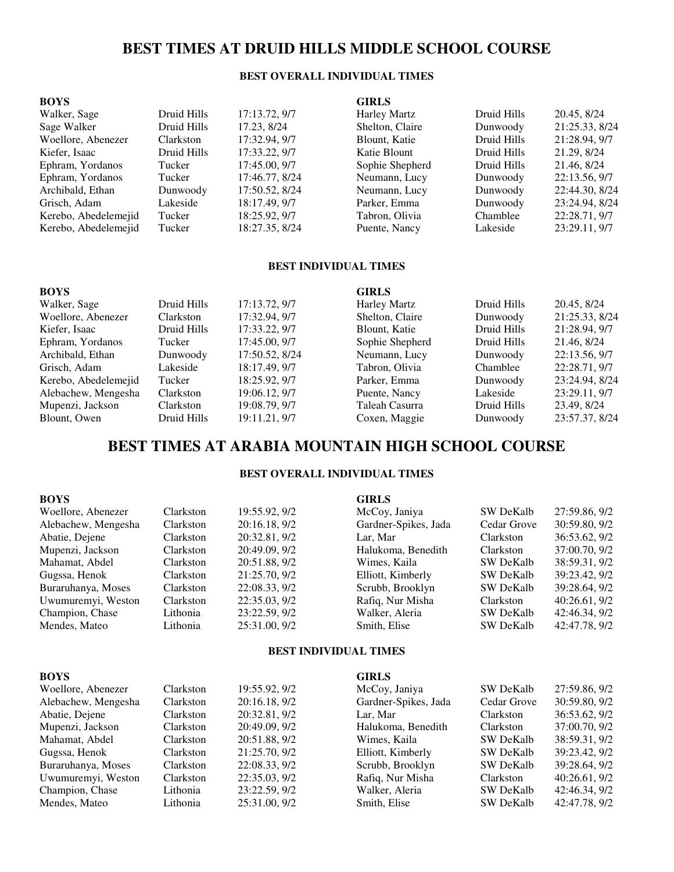## **BEST TIMES AT DRUID HILLS MIDDLE SCHOOL COURSE**

## **BEST OVERALL INDIVIDUAL TIMES**

| <b>BOYS</b>          |             |                | <b>GIRLS</b>        |             |                |
|----------------------|-------------|----------------|---------------------|-------------|----------------|
| Walker, Sage         | Druid Hills | 17:13.72, 9/7  | <b>Harley Martz</b> | Druid Hills | 20.45, 8/24    |
| Sage Walker          | Druid Hills | 17.23, 8/24    | Shelton, Claire     | Dunwoody    | 21:25.33, 8/24 |
| Woellore, Abenezer   | Clarkston   | 17:32.94, 9/7  | Blount, Katie       | Druid Hills | 21:28.94, 9/7  |
| Kiefer, Isaac        | Druid Hills | 17:33.22, 9/7  | Katie Blount        | Druid Hills | 21.29, 8/24    |
| Ephram, Yordanos     | Tucker      | 17:45.00, 9/7  | Sophie Shepherd     | Druid Hills | 21.46, 8/24    |
| Ephram, Yordanos     | Tucker      | 17:46.77, 8/24 | Neumann, Lucy       | Dunwoody    | 22:13.56, 9/7  |
| Archibald, Ethan     | Dunwoody    | 17:50.52, 8/24 | Neumann, Lucy       | Dunwoody    | 22:44.30, 8/24 |
| Grisch, Adam         | Lakeside    | 18:17.49, 9/7  | Parker, Emma        | Dunwoody    | 23:24.94, 8/24 |
| Kerebo, Abedelemejid | Tucker      | 18:25.92, 9/7  | Tabron, Olivia      | Chamblee    | 22:28.71, 9/7  |
| Kerebo, Abedelemejid | Tucker      | 18:27.35, 8/24 | Puente, Nancy       | Lakeside    | 23:29.11, 9/7  |

### **BEST INDIVIDUAL TIMES**

| <b>BOYS</b>          |             |                | <b>GIRLS</b>        |             |                |
|----------------------|-------------|----------------|---------------------|-------------|----------------|
| Walker, Sage         | Druid Hills | 17:13.72, 9/7  | <b>Harley Martz</b> | Druid Hills | 20.45, 8/24    |
| Woellore, Abenezer   | Clarkston   | 17:32.94, 9/7  | Shelton, Claire     | Dunwoody    | 21:25.33, 8/24 |
| Kiefer, Isaac        | Druid Hills | 17:33.22, 9/7  | Blount, Katie       | Druid Hills | 21:28.94, 9/7  |
| Ephram, Yordanos     | Tucker      | 17:45.00, 9/7  | Sophie Shepherd     | Druid Hills | 21.46, 8/24    |
| Archibald, Ethan     | Dunwoody    | 17:50.52, 8/24 | Neumann, Lucy       | Dunwoody    | 22:13.56, 9/7  |
| Grisch, Adam         | Lakeside    | 18:17.49, 9/7  | Tabron, Olivia      | Chamblee    | 22:28.71, 9/7  |
| Kerebo, Abedelemejid | Tucker      | 18:25.92, 9/7  | Parker, Emma        | Dunwoody    | 23:24.94, 8/24 |
| Alebachew, Mengesha  | Clarkston   | 19:06.12, 9/7  | Puente, Nancy       | Lakeside    | 23:29.11, 9/7  |
| Mupenzi, Jackson     | Clarkston   | 19:08.79, 9/7  | Taleah Casurra      | Druid Hills | 23.49, 8/24    |
| Blount, Owen         | Druid Hills | 19:11.21, 9/7  | Coxen, Maggie       | Dunwoody    | 23:57.37, 8/24 |

## **BEST TIMES AT ARABIA MOUNTAIN HIGH SCHOOL COURSE**

#### **BEST OVERALL INDIVIDUAL TIMES**

| <b>BOYS</b>         |                  |               | <b>GIRLS</b>         |                  |               |
|---------------------|------------------|---------------|----------------------|------------------|---------------|
| Woellore, Abenezer  | Clarkston        | 19:55.92, 9/2 | McCoy, Janiya        | <b>SW DeKalb</b> | 27:59.86, 9/2 |
| Alebachew, Mengesha | <b>Clarkston</b> | 20:16.18, 9/2 | Gardner-Spikes, Jada | Cedar Grove      | 30:59.80, 9/2 |
| Abatie, Dejene      | Clarkston        | 20:32.81, 9/2 | Lar. Mar             | <b>Clarkston</b> | 36:53.62, 9/2 |
| Mupenzi, Jackson    | Clarkston        | 20:49.09, 9/2 | Halukoma, Benedith   | Clarkston        | 37:00.70, 9/2 |
| Mahamat, Abdel      | Clarkston        | 20:51.88, 9/2 | Wimes, Kaila         | <b>SW DeKalb</b> | 38:59.31, 9/2 |
| Gugssa, Henok       | <b>Clarkston</b> | 21:25.70, 9/2 | Elliott, Kimberly    | <b>SW DeKalb</b> | 39:23.42, 9/2 |
| Buraruhanya, Moses  | Clarkston        | 22:08.33, 9/2 | Scrubb, Brooklyn     | <b>SW DeKalb</b> | 39:28.64, 9/2 |
| Uwumuremyi, Weston  | Clarkston        | 22:35.03, 9/2 | Rafiq, Nur Misha     | Clarkston        | 40:26.61, 9/2 |
| Champion, Chase     | Lithonia         | 23:22.59, 9/2 | Walker, Aleria       | <b>SW DeKalb</b> | 42:46.34, 9/2 |
| Mendes, Mateo       | Lithonia         | 25:31.00, 9/2 | Smith, Elise         | <b>SW DeKalb</b> | 42:47.78, 9/2 |

### **BEST INDIVIDUAL TIMES**

| <b>BOYS</b>         |                  |               | <b>GIRLS</b>         |                  |               |
|---------------------|------------------|---------------|----------------------|------------------|---------------|
| Woellore, Abenezer  | Clarkston        | 19:55.92, 9/2 | McCoy, Janiya        | <b>SW DeKalb</b> | 27:59.86, 9/2 |
| Alebachew, Mengesha | Clarkston        | 20:16.18, 9/2 | Gardner-Spikes, Jada | Cedar Grove      | 30:59.80, 9/2 |
| Abatie, Dejene      | Clarkston        | 20:32.81, 9/2 | Lar. Mar             | Clarkston        | 36:53.62, 9/2 |
| Mupenzi, Jackson    | Clarkston        | 20:49.09, 9/2 | Halukoma, Benedith   | Clarkston        | 37:00.70, 9/2 |
| Mahamat, Abdel      | Clarkston        | 20:51.88, 9/2 | Wimes, Kaila         | SW DeKalb        | 38:59.31, 9/2 |
| Gugssa, Henok       | Clarkston        | 21:25.70, 9/2 | Elliott, Kimberly    | <b>SW DeKalb</b> | 39:23.42, 9/2 |
| Buraruhanya, Moses  | <b>Clarkston</b> | 22:08.33, 9/2 | Scrubb, Brooklyn     | <b>SW DeKalb</b> | 39:28.64, 9/2 |
| Uwumuremyi, Weston  | Clarkston        | 22:35.03, 9/2 | Rafiq, Nur Misha     | Clarkston        | 40:26.61, 9/2 |
| Champion, Chase     | Lithonia         | 23:22.59, 9/2 | Walker, Aleria       | <b>SW DeKalb</b> | 42:46.34, 9/2 |
| Mendes, Mateo       | Lithonia         | 25:31.00, 9/2 | Smith, Elise         | <b>SW DeKalb</b> | 42:47.78, 9/2 |